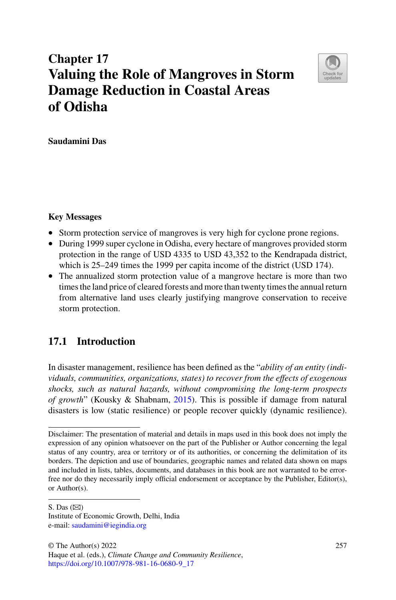# **Chapter 17 Valuing the Role of Mangroves in Storm Damage Reduction in Coastal Areas of Odisha**



**Saudamini Das**

#### **Key Messages**

- Storm protection service of mangroves is very high for cyclone prone regions.
- During 1999 super cyclone in Odisha, every hectare of mangroves provided storm protection in the range of USD 4335 to USD 43,352 to the Kendrapada district, which is 25–249 times the 1999 per capita income of the district (USD 174).
- The annualized storm protection value of a mangrove hectare is more than two times the land price of cleared forests and more than twenty times the annual return from alternative land uses clearly justifying mangrove conservation to receive storm protection.

# **17.1 Introduction**

In disaster management, resilience has been defined as the "*ability of an entity (individuals, communities, organizations, states) to recover from the effects of exogenous shocks, such as natural hazards, without compromising the long-term prospects of growth*" (Kousky & Shabnam, [2015\)](#page-15-0). This is possible if damage from natural disasters is low (static resilience) or people recover quickly (dynamic resilience).

S. Das  $(\boxtimes)$ 

Disclaimer: The presentation of material and details in maps used in this book does not imply the expression of any opinion whatsoever on the part of the Publisher or Author concerning the legal status of any country, area or territory or of its authorities, or concerning the delimitation of its borders. The depiction and use of boundaries, geographic names and related data shown on maps and included in lists, tables, documents, and databases in this book are not warranted to be errorfree nor do they necessarily imply official endorsement or acceptance by the Publisher, Editor(s), or Author(s).

Institute of Economic Growth, Delhi, India e-mail: [saudamini@iegindia.org](mailto:saudamini@iegindia.org)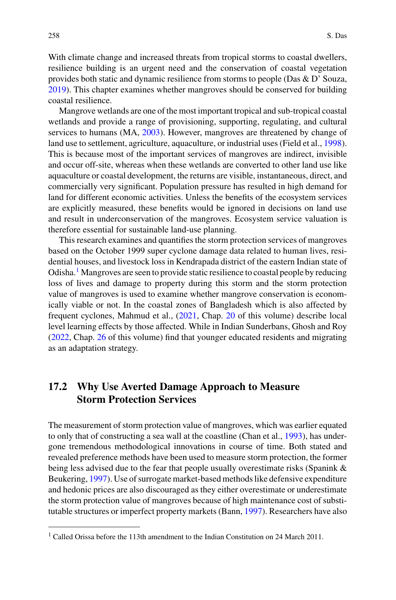With climate change and increased threats from tropical storms to coastal dwellers, resilience building is an urgent need and the conservation of coastal vegetation provides both static and dynamic resilience from storms to people (Das & D' Souza, [2019\)](#page-15-1). This chapter examines whether mangroves should be conserved for building coastal resilience.

Mangrove wetlands are one of the most important tropical and sub-tropical coastal wetlands and provide a range of provisioning, supporting, regulating, and cultural services to humans (MA, [2003\)](#page-15-2). However, mangroves are threatened by change of land use to settlement, agriculture, aquaculture, or industrial uses (Field et al., [1998\)](#page-15-3). This is because most of the important services of mangroves are indirect, invisible and occur off-site, whereas when these wetlands are converted to other land use like aquaculture or coastal development, the returns are visible, instantaneous, direct, and commercially very significant. Population pressure has resulted in high demand for land for different economic activities. Unless the benefits of the ecosystem services are explicitly measured, these benefits would be ignored in decisions on land use and result in underconservation of the mangroves. Ecosystem service valuation is therefore essential for sustainable land-use planning.

This research examines and quantifies the storm protection services of mangroves based on the October 1999 super cyclone damage data related to human lives, residential houses, and livestock loss in Kendrapada district of the eastern Indian state of Odisha.<sup>[1](#page-1-0)</sup> Mangroves are seen to provide static resilience to coastal people by reducing loss of lives and damage to property during this storm and the storm protection value of mangroves is used to examine whether mangrove conservation is economically viable or not. In the coastal zones of Bangladesh which is also affected by frequent cyclones, Mahmud et al., [\(2021,](#page-16-0) Chap. 20 of this volume) describe local level learning effects by those affected. While in Indian Sunderbans, Ghosh and Roy [\(2022,](#page-15-4) Chap. 26 of this volume) find that younger educated residents and migrating as an adaptation strategy.

# **17.2 Why Use Averted Damage Approach to Measure Storm Protection Services**

The measurement of storm protection value of mangroves, which was earlier equated to only that of constructing a sea wall at the coastline (Chan et al., [1993\)](#page-15-5), has undergone tremendous methodological innovations in course of time. Both stated and revealed preference methods have been used to measure storm protection, the former being less advised due to the fear that people usually overestimate risks (Spanink & Beukering, [1997\)](#page-16-1). Use of surrogate market-based methods like defensive expenditure and hedonic prices are also discouraged as they either overestimate or underestimate the storm protection value of mangroves because of high maintenance cost of substitutable structures or imperfect property markets (Bann, [1997\)](#page-15-6). Researchers have also

<span id="page-1-0"></span> $1$  Called Orissa before the 113th amendment to the Indian Constitution on 24 March 2011.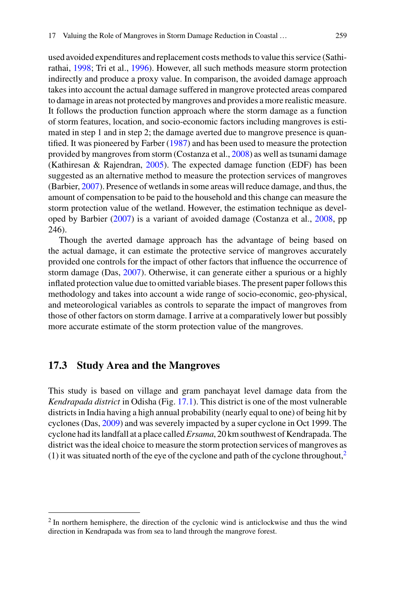used avoided expenditures and replacement costs methods to value this service (Sathirathai, [1998;](#page-16-2) Tri et al., [1996\)](#page-16-3). However, all such methods measure storm protection indirectly and produce a proxy value. In comparison, the avoided damage approach takes into account the actual damage suffered in mangrove protected areas compared to damage in areas not protected by mangroves and provides a more realistic measure. It follows the production function approach where the storm damage as a function of storm features, location, and socio-economic factors including mangroves is estimated in step 1 and in step 2; the damage averted due to mangrove presence is quantified. It was pioneered by Farber [\(1987\)](#page-15-7) and has been used to measure the protection provided by mangroves from storm (Costanza et al., [2008\)](#page-15-8) as well as tsunami damage (Kathiresan & Rajendran, [2005\)](#page-15-9). The expected damage function (EDF) has been suggested as an alternative method to measure the protection services of mangroves (Barbier, [2007\)](#page-15-10). Presence of wetlands in some areas will reduce damage, and thus, the amount of compensation to be paid to the household and this change can measure the storm protection value of the wetland. However, the estimation technique as developed by Barbier [\(2007\)](#page-15-10) is a variant of avoided damage (Costanza et al., [2008,](#page-15-8) pp 246).

Though the averted damage approach has the advantage of being based on the actual damage, it can estimate the protective service of mangroves accurately provided one controls for the impact of other factors that influence the occurrence of storm damage (Das, [2007\)](#page-15-11). Otherwise, it can generate either a spurious or a highly inflated protection value due to omitted variable biases. The present paper follows this methodology and takes into account a wide range of socio-economic, geo-physical, and meteorological variables as controls to separate the impact of mangroves from those of other factors on storm damage. I arrive at a comparatively lower but possibly more accurate estimate of the storm protection value of the mangroves.

#### **17.3 Study Area and the Mangroves**

This study is based on village and gram panchayat level damage data from the *Kendrapada district* in Odisha (Fig. [17.1\)](#page-3-0). This district is one of the most vulnerable districts in India having a high annual probability (nearly equal to one) of being hit by cyclones (Das, [2009\)](#page-15-12) and was severely impacted by a super cyclone in Oct 1999. The cyclone had its landfall at a place called*Ersama*, 20 km southwest of Kendrapada. The district was the ideal choice to measure the storm protection services of mangroves as (1) it was situated north of the eye of the cyclone and path of the cyclone throughout,<sup>[2](#page-2-0)</sup>

<span id="page-2-0"></span><sup>&</sup>lt;sup>2</sup> In northern hemisphere, the direction of the cyclonic wind is anticlockwise and thus the wind direction in Kendrapada was from sea to land through the mangrove forest.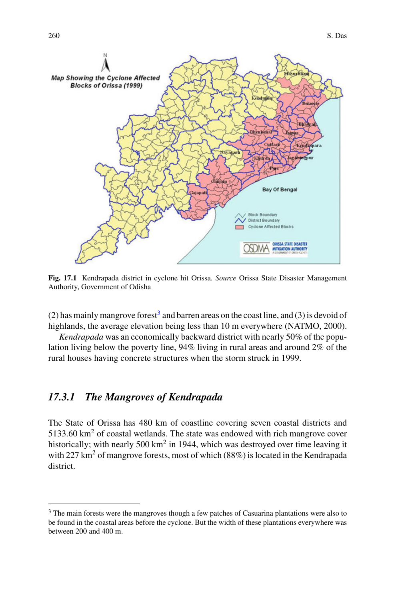

<span id="page-3-0"></span>**Fig. 17.1** Kendrapada district in cyclone hit Orissa. *Source* Orissa State Disaster Management Authority, Government of Odisha

(2) has mainly mangrove forest<sup>3</sup> and barren areas on the coast line, and (3) is devoid of highlands, the average elevation being less than 10 m everywhere (NATMO, 2000).

*Kendrapada* was an economically backward district with nearly 50% of the population living below the poverty line, 94% living in rural areas and around 2% of the rural houses having concrete structures when the storm struck in 1999.

## *17.3.1 The Mangroves of Kendrapada*

The State of Orissa has 480 km of coastline covering seven coastal districts and  $5133.60 \text{ km}^2$  of coastal wetlands. The state was endowed with rich mangrove cover historically; with nearly 500 km<sup>2</sup> in 1944, which was destroyed over time leaving it with  $227 \text{ km}^2$  of mangrove forests, most of which (88%) is located in the Kendrapada district.

<span id="page-3-1"></span><sup>&</sup>lt;sup>3</sup> The main forests were the mangroves though a few patches of Casuarina plantations were also to be found in the coastal areas before the cyclone. But the width of these plantations everywhere was between 200 and 400 m.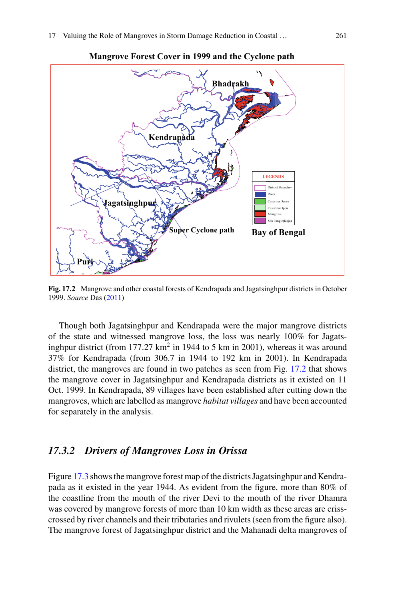

**Mangrove Forest Cover in 1999 and the Cyclone path**

<span id="page-4-0"></span>**Fig. 17.2** Mangrove and other coastal forests of Kendrapada and Jagatsinghpur districts in October 1999. *Source* Das [\(2011\)](#page-15-13)

Though both Jagatsinghpur and Kendrapada were the major mangrove districts of the state and witnessed mangrove loss, the loss was nearly 100% for Jagatsinghpur district (from  $177.27 \text{ km}^2$  in 1944 to 5 km in 2001), whereas it was around 37% for Kendrapada (from 306.7 in 1944 to 192 km in 2001). In Kendrapada district, the mangroves are found in two patches as seen from Fig. [17.2](#page-4-0) that shows the mangrove cover in Jagatsinghpur and Kendrapada districts as it existed on 11 Oct. 1999. In Kendrapada, 89 villages have been established after cutting down the mangroves, which are labelled as mangrove *habitat villages* and have been accounted for separately in the analysis.

#### *17.3.2 Drivers of Mangroves Loss in Orissa*

Figure [17.3](#page-5-0) shows the mangrove forest map of the districts Jagatsinghpur and Kendrapada as it existed in the year 1944. As evident from the figure, more than 80% of the coastline from the mouth of the river Devi to the mouth of the river Dhamra was covered by mangrove forests of more than 10 km width as these areas are crisscrossed by river channels and their tributaries and rivulets (seen from the figure also). The mangrove forest of Jagatsinghpur district and the Mahanadi delta mangroves of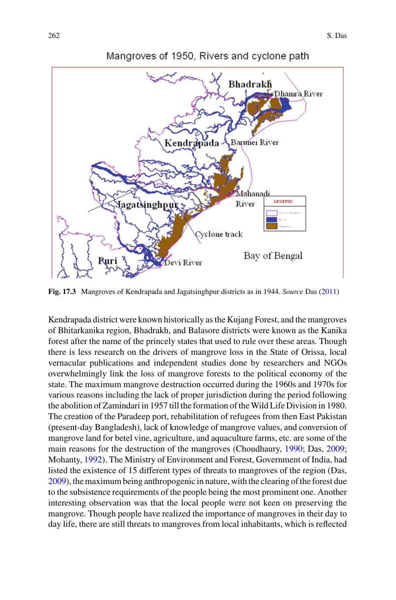

<span id="page-5-0"></span>**Fig. 17.3** Mangroves of Kendrapada and Jagatsinghpur districts as in 1944. *Source* Das [\(2011\)](#page-15-13)

Kendrapada district were known historically as the Kujang Forest, and the mangroves of Bhitarkanika region, Bhadrakh, and Balasore districts were known as the Kanika forest after the name of the princely states that used to rule over these areas. Though there is less research on the drivers of mangrove loss in the State of Orissa, local vernacular publications and independent studies done by researchers and NGOs overwhelmingly link the loss of mangrove forests to the political economy of the state. The maximum mangrove destruction occurred during the 1960s and 1970s for various reasons including the lack of proper jurisdiction during the period following the abolition of Zamindari in 1957 till the formation of theWild Life Division in 1980. The creation of the Paradeep port, rehabilitation of refugees from then East Pakistan (present-day Bangladesh), lack of knowledge of mangrove values, and conversion of mangrove land for betel vine, agriculture, and aquaculture farms, etc. are some of the main reasons for the destruction of the mangroves (Choudhaury, [1990;](#page-15-14) Das, [2009;](#page-15-12) Mohanty, [1992\)](#page-16-4). The Ministry of Environment and Forest, Government of India, had listed the existence of 15 different types of threats to mangroves of the region (Das, [2009\)](#page-15-12), the maximum being anthropogenic in nature, with the clearing of the forest due to the subsistence requirements of the people being the most prominent one. Another interesting observation was that the local people were not keen on preserving the mangrove. Though people have realized the importance of mangroves in their day to day life, there are still threats to mangroves from local inhabitants, which is reflected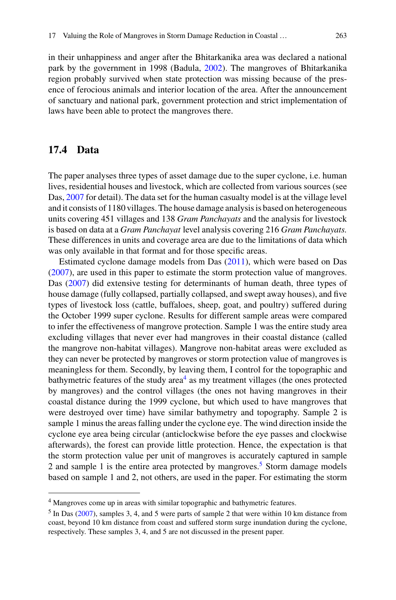in their unhappiness and anger after the Bhitarkanika area was declared a national park by the government in 1998 (Badula, [2002\)](#page-15-15). The mangroves of Bhitarkanika region probably survived when state protection was missing because of the presence of ferocious animals and interior location of the area. After the announcement of sanctuary and national park, government protection and strict implementation of laws have been able to protect the mangroves there.

## **17.4 Data**

The paper analyses three types of asset damage due to the super cyclone, i.e. human lives, residential houses and livestock, which are collected from various sources (see Das, [2007](#page-15-11) for detail). The data set for the human casualty model is at the village level and it consists of 1180 villages. The house damage analysis is based on heterogeneous units covering 451 villages and 138 *Gram Panchayats* and the analysis for livestock is based on data at a *Gram Panchayat* level analysis covering 216 *Gram Panchayats.* These differences in units and coverage area are due to the limitations of data which was only available in that format and for those specific areas.

Estimated cyclone damage models from Das [\(2011\)](#page-15-13), which were based on Das [\(2007\)](#page-15-11), are used in this paper to estimate the storm protection value of mangroves. Das [\(2007\)](#page-15-11) did extensive testing for determinants of human death, three types of house damage (fully collapsed, partially collapsed, and swept away houses), and five types of livestock loss (cattle, buffaloes, sheep, goat, and poultry) suffered during the October 1999 super cyclone. Results for different sample areas were compared to infer the effectiveness of mangrove protection. Sample 1 was the entire study area excluding villages that never ever had mangroves in their coastal distance (called the mangrove non-habitat villages). Mangrove non-habitat areas were excluded as they can never be protected by mangroves or storm protection value of mangroves is meaningless for them. Secondly, by leaving them, I control for the topographic and bathymetric features of the study  $area<sup>4</sup>$  $area<sup>4</sup>$  $area<sup>4</sup>$  as my treatment villages (the ones protected by mangroves) and the control villages (the ones not having mangroves in their coastal distance during the 1999 cyclone, but which used to have mangroves that were destroyed over time) have similar bathymetry and topography. Sample 2 is sample 1 minus the areas falling under the cyclone eye. The wind direction inside the cyclone eye area being circular (anticlockwise before the eye passes and clockwise afterwards), the forest can provide little protection. Hence, the expectation is that the storm protection value per unit of mangroves is accurately captured in sample 2 and sample 1 is the entire area protected by mangroves.<sup>5</sup> Storm damage models based on sample 1 and 2, not others, are used in the paper. For estimating the storm

<span id="page-6-1"></span><span id="page-6-0"></span><sup>&</sup>lt;sup>4</sup> Mangroves come up in areas with similar topographic and bathymetric features.

<sup>5</sup> In Das [\(2007\)](#page-15-11), samples 3, 4, and 5 were parts of sample 2 that were within 10 km distance from coast, beyond 10 km distance from coast and suffered storm surge inundation during the cyclone, respectively. These samples 3, 4, and 5 are not discussed in the present paper.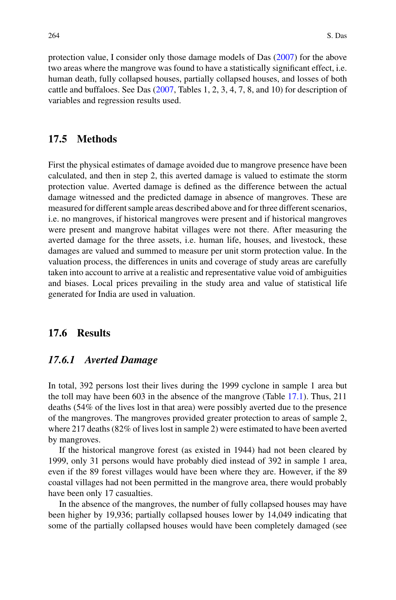protection value, I consider only those damage models of Das [\(2007\)](#page-15-11) for the above two areas where the mangrove was found to have a statistically significant effect, i.e. human death, fully collapsed houses, partially collapsed houses, and losses of both cattle and buffaloes. See Das [\(2007,](#page-15-11) Tables 1, 2, 3, 4, 7, 8, and 10) for description of variables and regression results used.

# **17.5 Methods**

First the physical estimates of damage avoided due to mangrove presence have been calculated, and then in step 2, this averted damage is valued to estimate the storm protection value. Averted damage is defined as the difference between the actual damage witnessed and the predicted damage in absence of mangroves. These are measured for different sample areas described above and for three different scenarios, i.e. no mangroves, if historical mangroves were present and if historical mangroves were present and mangrove habitat villages were not there. After measuring the averted damage for the three assets, i.e. human life, houses, and livestock, these damages are valued and summed to measure per unit storm protection value. In the valuation process, the differences in units and coverage of study areas are carefully taken into account to arrive at a realistic and representative value void of ambiguities and biases. Local prices prevailing in the study area and value of statistical life generated for India are used in valuation.

#### **17.6 Results**

#### *17.6.1 Averted Damage*

In total, 392 persons lost their lives during the 1999 cyclone in sample 1 area but the toll may have been 603 in the absence of the mangrove (Table [17.1\)](#page-8-0). Thus, 211 deaths (54% of the lives lost in that area) were possibly averted due to the presence of the mangroves. The mangroves provided greater protection to areas of sample 2, where 217 deaths (82% of lives lost in sample 2) were estimated to have been averted by mangroves.

If the historical mangrove forest (as existed in 1944) had not been cleared by 1999, only 31 persons would have probably died instead of 392 in sample 1 area, even if the 89 forest villages would have been where they are. However, if the 89 coastal villages had not been permitted in the mangrove area, there would probably have been only 17 casualties.

In the absence of the mangroves, the number of fully collapsed houses may have been higher by 19,936; partially collapsed houses lower by 14,049 indicating that some of the partially collapsed houses would have been completely damaged (see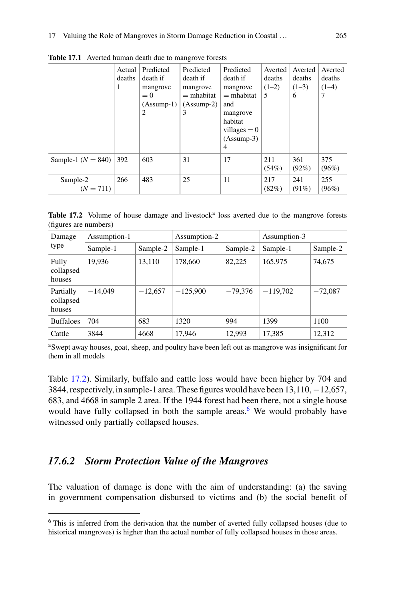|                         | Actual<br>deaths<br>1 | Predicted<br>death if<br>mangrove<br>$= 0$<br>$(Assump-1)$<br>2 | Predicted<br>death if<br>mangrove<br>$=$ mhabitat<br>$(Assump-2)$<br>3 | Predicted<br>death if<br>mangrove<br>$=$ mhabitat<br>and<br>mangrove<br>habitat<br>villages $= 0$<br>$(Assump-3)$<br>$\overline{4}$ | Averted<br>deaths<br>$(1-2)$<br>5 | Averted<br>deaths<br>$(1-3)$<br>6 | Averted<br>deaths<br>$(1-4)$<br>7 |
|-------------------------|-----------------------|-----------------------------------------------------------------|------------------------------------------------------------------------|-------------------------------------------------------------------------------------------------------------------------------------|-----------------------------------|-----------------------------------|-----------------------------------|
| Sample-1 ( $N = 840$ )  | 392                   | 603                                                             | 31                                                                     | 17                                                                                                                                  | 211<br>(54%)                      | 361<br>$(92\%)$                   | 375<br>(96%)                      |
| Sample-2<br>$(N = 711)$ | 266                   | 483                                                             | 25                                                                     | 11                                                                                                                                  | 217<br>(82%)                      | 241<br>(91%)                      | 255<br>(96%)                      |

<span id="page-8-0"></span>**Table 17.1** Averted human death due to mangrove forests

<span id="page-8-1"></span>Table 17.2 Volume of house damage and livestock<sup>a</sup> loss averted due to the mangrove forests (figures are numbers)

| Damage                           | Assumption-1 |           | Assumption-2 |           | Assumption-3 |           |
|----------------------------------|--------------|-----------|--------------|-----------|--------------|-----------|
| type                             | Sample-1     | Sample-2  | Sample-1     | Sample-2  | Sample-1     | Sample-2  |
| Fully<br>collapsed<br>houses     | 19,936       | 13,110    | 178,660      | 82,225    | 165,975      | 74,675    |
| Partially<br>collapsed<br>houses | $-14,049$    | $-12,657$ | $-125,900$   | $-79.376$ | $-119,702$   | $-72,087$ |
| <b>Buffaloes</b>                 | 704          | 683       | 1320         | 994       | 1399         | 1100      |
| Cattle                           | 3844         | 4668      | 17,946       | 12,993    | 17,385       | 12,312    |

aSwept away houses, goat, sheep, and poultry have been left out as mangrove was insignificant for them in all models

Table [17.2\)](#page-8-1). Similarly, buffalo and cattle loss would have been higher by 704 and 3844, respectively, in sample-1 area. These figures would have been 13,110,−12,657, 683, and 4668 in sample 2 area. If the 1944 forest had been there, not a single house would have fully collapsed in both the sample areas.<sup>6</sup> We would probably have witnessed only partially collapsed houses.

## *17.6.2 Storm Protection Value of the Mangroves*

The valuation of damage is done with the aim of understanding: (a) the saving in government compensation disbursed to victims and (b) the social benefit of

<span id="page-8-2"></span><sup>6</sup> This is inferred from the derivation that the number of averted fully collapsed houses (due to historical mangroves) is higher than the actual number of fully collapsed houses in those areas.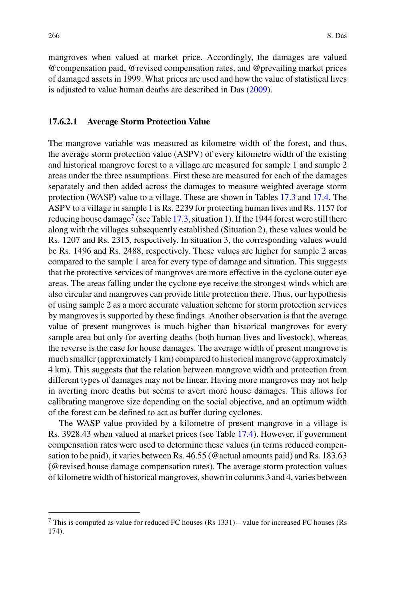mangroves when valued at market price. Accordingly, the damages are valued @compensation paid, @revised compensation rates, and @prevailing market prices of damaged assets in 1999. What prices are used and how the value of statistical lives is adjusted to value human deaths are described in Das [\(2009\)](#page-15-12).

#### **17.6.2.1 Average Storm Protection Value**

The mangrove variable was measured as kilometre width of the forest, and thus, the average storm protection value (ASPV) of every kilometre width of the existing and historical mangrove forest to a village are measured for sample 1 and sample 2 areas under the three assumptions. First these are measured for each of the damages separately and then added across the damages to measure weighted average storm protection (WASP) value to a village. These are shown in Tables [17.3](#page-10-0) and [17.4.](#page-11-0) The ASPV to a village in sample 1 is Rs. 2239 for protecting human lives and Rs. 1157 for reducing house damage<sup>7</sup> (see Table [17.3,](#page-10-0) situation 1). If the 1944 forest were still there along with the villages subsequently established (Situation 2), these values would be Rs. 1207 and Rs. 2315, respectively. In situation 3, the corresponding values would be Rs. 1496 and Rs. 2488, respectively. These values are higher for sample 2 areas compared to the sample 1 area for every type of damage and situation. This suggests that the protective services of mangroves are more effective in the cyclone outer eye areas. The areas falling under the cyclone eye receive the strongest winds which are also circular and mangroves can provide little protection there. Thus, our hypothesis of using sample 2 as a more accurate valuation scheme for storm protection services by mangroves is supported by these findings. Another observation is that the average value of present mangroves is much higher than historical mangroves for every sample area but only for averting deaths (both human lives and livestock), whereas the reverse is the case for house damages. The average width of present mangrove is much smaller (approximately 1 km) compared to historical mangrove (approximately 4 km). This suggests that the relation between mangrove width and protection from different types of damages may not be linear. Having more mangroves may not help in averting more deaths but seems to avert more house damages. This allows for calibrating mangrove size depending on the social objective, and an optimum width of the forest can be defined to act as buffer during cyclones.

The WASP value provided by a kilometre of present mangrove in a village is Rs. 3928.43 when valued at market prices (see Table [17.4\)](#page-11-0). However, if government compensation rates were used to determine these values (in terms reduced compensation to be paid), it varies between Rs. 46.55 (@actual amounts paid) and Rs. 183.63 (@revised house damage compensation rates). The average storm protection values of kilometre width of historical mangroves, shown in columns 3 and 4, varies between

<span id="page-9-0"></span><sup>7</sup> This is computed as value for reduced FC houses (Rs 1331)—value for increased PC houses (Rs 174).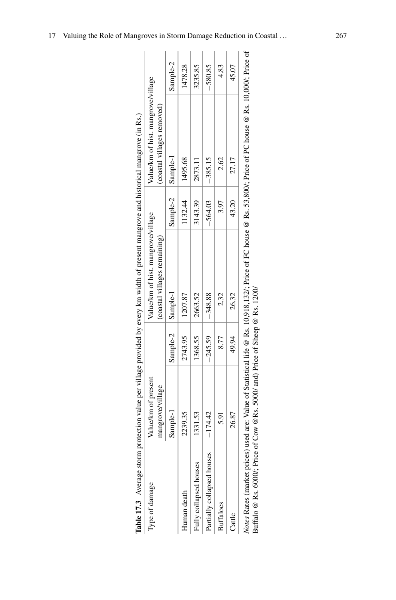|                             |                     |           | Table 17.3 Average storm protection value per village provided by every km width of present mangrove and historical mangrove (in Rs.) |           |                                                                                                                                   |           |
|-----------------------------|---------------------|-----------|---------------------------------------------------------------------------------------------------------------------------------------|-----------|-----------------------------------------------------------------------------------------------------------------------------------|-----------|
| Type of damage              | Value/km of present |           | Value/km of hist. mangrove/village                                                                                                    |           | Value/km of hist. mangrove/village                                                                                                |           |
|                             | mangrove/village    |           | (coastal villages remaining)                                                                                                          |           | (coastal villages removed)                                                                                                        |           |
|                             | Sample-1            | Sample-2  | Sample-1                                                                                                                              | Sample-2  | $ $ Sample-1                                                                                                                      | Sample-2  |
| Human death                 | 2239.35             | 2743.95   | 1207.87                                                                                                                               | 1132.44   | 1495.68                                                                                                                           | 1478.28   |
| Fully collapsed houses      | 1331.53             | 1368.55   | 2663.52                                                                                                                               | 3143.39   | 2873.11                                                                                                                           | 3235.85   |
| Partially collapsed houses  | $-174.42$           | $-245.59$ | $-348.88$                                                                                                                             | $-564.03$ | $-385.15$                                                                                                                         | $-580.85$ |
| <b>Buffaloes</b>            | 5.91                | 8.77      | 2.32                                                                                                                                  | 3.97      | 2.62                                                                                                                              | 4.83      |
| Cattle                      | 26.87               | 49.94     | 26.32                                                                                                                                 | 43.20     | 27.17                                                                                                                             | 45.07     |
| Votes Rates (market prices) |                     |           |                                                                                                                                       |           | used are: Value of Statistical life @ Rs. 10.918,132/; Price of FC house @ Rs. 53,800/; Price of PC house @ Rs. 10.000/; Price of |           |

<span id="page-10-0"></span>

| I                                             |  |
|-----------------------------------------------|--|
|                                               |  |
|                                               |  |
|                                               |  |
|                                               |  |
| ı<br>$\overline{\phantom{a}}$                 |  |
|                                               |  |
|                                               |  |
|                                               |  |
|                                               |  |
|                                               |  |
|                                               |  |
|                                               |  |
|                                               |  |
|                                               |  |
|                                               |  |
|                                               |  |
| ׇ֖֖֖֖֚֚֚֚֚֚֚֡֬                                |  |
| ֘֒                                            |  |
|                                               |  |
| i                                             |  |
|                                               |  |
|                                               |  |
|                                               |  |
|                                               |  |
|                                               |  |
|                                               |  |
|                                               |  |
|                                               |  |
|                                               |  |
|                                               |  |
| $\frac{1}{2}$                                 |  |
|                                               |  |
| ۵۳ï                                           |  |
|                                               |  |
|                                               |  |
| í                                             |  |
|                                               |  |
|                                               |  |
|                                               |  |
|                                               |  |
|                                               |  |
|                                               |  |
| j                                             |  |
| İ                                             |  |
|                                               |  |
|                                               |  |
|                                               |  |
|                                               |  |
|                                               |  |
|                                               |  |
|                                               |  |
|                                               |  |
| j                                             |  |
| j                                             |  |
|                                               |  |
|                                               |  |
|                                               |  |
|                                               |  |
|                                               |  |
|                                               |  |
| l<br>ł                                        |  |
|                                               |  |
|                                               |  |
| ā                                             |  |
|                                               |  |
|                                               |  |
| ï                                             |  |
| l<br>֖֧ׅ֧ׅ֧ׅ֧ׅ֧֧֚֚֚֚֚֚֚֚֚֚֚֚֚֚֚֚֚֚֚֡֜֜֓֝֬֜֓֝֓ |  |
| e<br>S<br>ı                                   |  |

*Notes* Rates (market prices) used are: Value of Statistical life @ Rs. 10,918,132/; Price of FC house @ Rs. 53,800/; Price @ G Rs. 10,000/; Price of *Notes* Rates (market prices) used are: value or Statistical IIIe & Rs. 10,516,1527.<br>Buffalo @ Rs. 6000/; Price of Cow @Rs. 5000/ and) Price of Sheep @ Rs. 1200/ Buffalo @ Rs. 6000/; Price of Cow @Rs. 5000/ and) Price of Sheep @ Rs. 1200/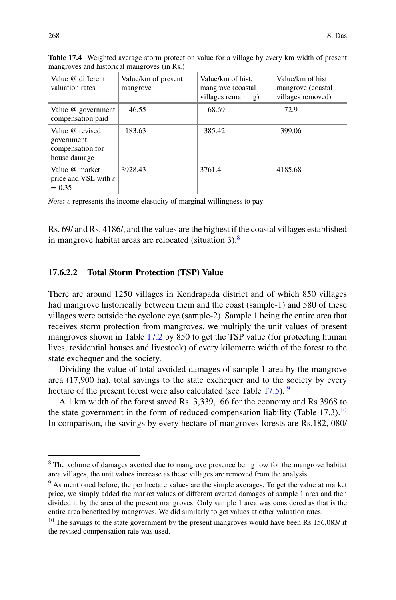| Value @ different<br>valuation rates                              | Value/km of present<br>mangrove | Value/km of hist.<br>mangrove (coastal)<br>villages remaining) | Value/km of hist.<br>mangrove (coastal<br>villages removed) |
|-------------------------------------------------------------------|---------------------------------|----------------------------------------------------------------|-------------------------------------------------------------|
| Value @ government<br>compensation paid                           | 46.55                           | 68.69                                                          | 72.9                                                        |
| Value @ revised<br>government<br>compensation for<br>house damage | 183.63                          | 385.42                                                         | 399.06                                                      |
| Value @ market<br>price and VSL with $\varepsilon$<br>$= 0.35$    | 3928.43                         | 3761.4                                                         | 4185.68                                                     |

<span id="page-11-0"></span>**Table 17.4** Weighted average storm protection value for a village by every km width of present mangroves and historical mangroves (in Rs.)

*Note*:  $\varepsilon$  represents the income elasticity of marginal willingness to pay

Rs. 69/ and Rs. 4186/, and the values are the highest if the coastal villages established in mangrove habitat areas are relocated (situation  $3$ ).<sup>8</sup>

#### **17.6.2.2 Total Storm Protection (TSP) Value**

There are around 1250 villages in Kendrapada district and of which 850 villages had mangrove historically between them and the coast (sample-1) and 580 of these villages were outside the cyclone eye (sample-2). Sample 1 being the entire area that receives storm protection from mangroves, we multiply the unit values of present mangroves shown in Table [17.2](#page-8-1) by 850 to get the TSP value (for protecting human lives, residential houses and livestock) of every kilometre width of the forest to the state exchequer and the society.

Dividing the value of total avoided damages of sample 1 area by the mangrove area (17,900 ha), total savings to the state exchequer and to the society by every hectare of the present forest were also calculated (see Table [17.5\)](#page-12-0). <sup>[9](#page-11-2)</sup>

A 1 km width of the forest saved Rs. 3,339,166 for the economy and Rs 3968 to the state government in the form of reduced compensation liability (Table 17.3).<sup>10</sup> In comparison, the savings by every hectare of mangroves forests are Rs.182, 080/

<span id="page-11-2"></span><span id="page-11-1"></span><sup>&</sup>lt;sup>8</sup> The volume of damages averted due to mangrove presence being low for the mangrove habitat area villages, the unit values increase as these villages are removed from the analysis.

<sup>9</sup> As mentioned before, the per hectare values are the simple averages. To get the value at market price, we simply added the market values of different averted damages of sample 1 area and then divided it by the area of the present mangroves. Only sample 1 area was considered as that is the entire area benefited by mangroves. We did similarly to get values at other valuation rates.

<span id="page-11-3"></span> $10$  The savings to the state government by the present mangroves would have been Rs 156,083/ if the revised compensation rate was used.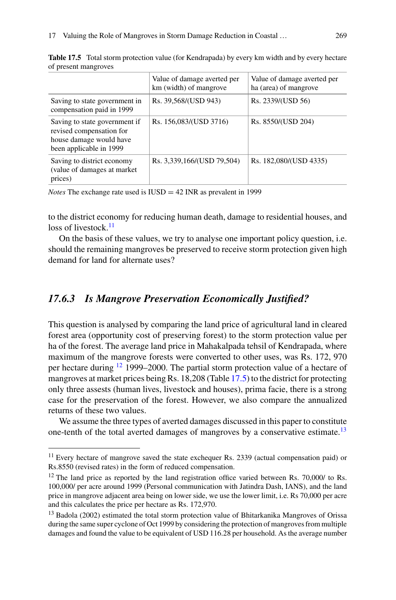|                                                                                                                 | Value of damage averted per<br>km (width) of mangrove | Value of damage averted per<br>ha (area) of mangrove |
|-----------------------------------------------------------------------------------------------------------------|-------------------------------------------------------|------------------------------------------------------|
| Saving to state government in<br>compensation paid in 1999                                                      | Rs. 39,568/(USD 943)                                  | Rs. 2339/(USD 56)                                    |
| Saving to state government if<br>revised compensation for<br>house damage would have<br>been applicable in 1999 | Rs. 156,083/(USD 3716)                                | Rs. 8550/(USD 204)                                   |
| Saving to district economy<br>(value of damages at market)<br>prices)                                           | Rs. 3,339,166/(USD 79,504)                            | Rs. 182,080/(USD 4335)                               |

<span id="page-12-0"></span>**Table 17.5** Total storm protection value (for Kendrapada) by every km width and by every hectare of present mangroves

*Notes* The exchange rate used is IUSD = 42 INR as prevalent in 1999

to the district economy for reducing human death, damage to residential houses, and loss of livestock.<sup>[11](#page-12-1)</sup>

On the basis of these values, we try to analyse one important policy question, i.e. should the remaining mangroves be preserved to receive storm protection given high demand for land for alternate uses?

## *17.6.3 Is Mangrove Preservation Economically Justified?*

This question is analysed by comparing the land price of agricultural land in cleared forest area (opportunity cost of preserving forest) to the storm protection value per ha of the forest. The average land price in Mahakalpada tehsil of Kendrapada, where maximum of the mangrove forests were converted to other uses, was Rs. 172, 970 per hectare during [12](#page-12-2) 1999–2000. The partial storm protection value of a hectare of mangroves at market prices being Rs. 18,208 (Table [17.5\)](#page-12-0) to the district for protecting only three assests (human lives, livestock and houses), prima facie, there is a strong case for the preservation of the forest. However, we also compare the annualized returns of these two values.

We assume the three types of averted damages discussed in this paper to constitute one-tenth of the total averted damages of mangroves by a conservative estimate.[13](#page-12-3)

<span id="page-12-2"></span><span id="page-12-1"></span><sup>&</sup>lt;sup>11</sup> Every hectare of mangrove saved the state exchequer Rs. 2339 (actual compensation paid) or Rs.8550 (revised rates) in the form of reduced compensation.

 $12$  The land price as reported by the land registration office varied between Rs. 70,000/ to Rs. 100,000/ per acre around 1999 (Personal communication with Jatindra Dash, IANS), and the land price in mangrove adjacent area being on lower side, we use the lower limit, i.e. Rs 70,000 per acre and this calculates the price per hectare as Rs. 172,970.

<span id="page-12-3"></span><sup>&</sup>lt;sup>13</sup> Badola (2002) estimated the total storm protection value of Bhitarkanika Mangroves of Orissa during the same super cyclone of Oct 1999 by considering the protection of mangroves from multiple damages and found the value to be equivalent of USD 116.28 per household. As the average number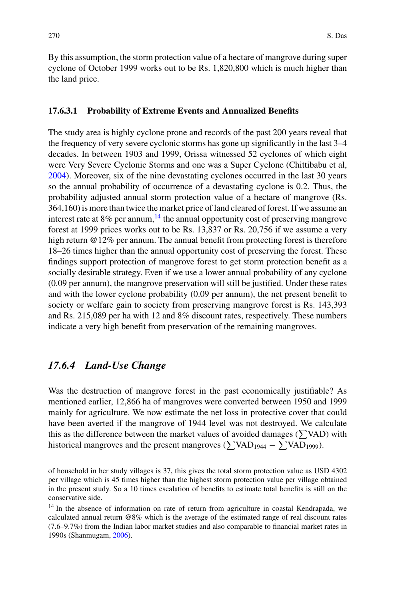By this assumption, the storm protection value of a hectare of mangrove during super cyclone of October 1999 works out to be Rs. 1,820,800 which is much higher than the land price.

#### **17.6.3.1 Probability of Extreme Events and Annualized Benefits**

The study area is highly cyclone prone and records of the past 200 years reveal that the frequency of very severe cyclonic storms has gone up significantly in the last 3–4 decades. In between 1903 and 1999, Orissa witnessed 52 cyclones of which eight were Very Severe Cyclonic Storms and one was a Super Cyclone (Chittibabu et al, [2004\)](#page-15-16). Moreover, six of the nine devastating cyclones occurred in the last 30 years so the annual probability of occurrence of a devastating cyclone is 0.2. Thus, the probability adjusted annual storm protection value of a hectare of mangrove (Rs. 364,160) is more than twice the market price of land cleared of forest. If we assume an interest rate at  $8\%$  per annum,  $14$  the annual opportunity cost of preserving mangrove forest at 1999 prices works out to be Rs. 13,837 or Rs. 20,756 if we assume a very high return @12% per annum. The annual benefit from protecting forest is therefore 18–26 times higher than the annual opportunity cost of preserving the forest. These findings support protection of mangrove forest to get storm protection benefit as a socially desirable strategy. Even if we use a lower annual probability of any cyclone (0.09 per annum), the mangrove preservation will still be justified. Under these rates and with the lower cyclone probability (0.09 per annum), the net present benefit to society or welfare gain to society from preserving mangrove forest is Rs. 143,393 and Rs. 215,089 per ha with 12 and 8% discount rates, respectively. These numbers indicate a very high benefit from preservation of the remaining mangroves.

# *17.6.4 Land-Use Change*

Was the destruction of mangrove forest in the past economically justifiable? As mentioned earlier, 12,866 ha of mangroves were converted between 1950 and 1999 mainly for agriculture. We now estimate the net loss in protective cover that could have been averted if the mangrove of 1944 level was not destroyed. We calculate this as the difference between the market values of avoided damages ( $\sum$ VAD) with historical mangroves and the present mangroves ( $\sum$ VAD<sub>1944</sub> –  $\sum$ VAD<sub>1999</sub>).

of household in her study villages is 37, this gives the total storm protection value as USD 4302 per village which is 45 times higher than the highest storm protection value per village obtained in the present study. So a 10 times escalation of benefits to estimate total benefits is still on the conservative side.

<span id="page-13-0"></span><sup>&</sup>lt;sup>14</sup> In the absence of information on rate of return from agriculture in coastal Kendrapada, we calculated annual return @8% which is the average of the estimated range of real discount rates (7.6–9.7%) from the Indian labor market studies and also comparable to financial market rates in 1990s (Shanmugam, [2006\)](#page-16-5).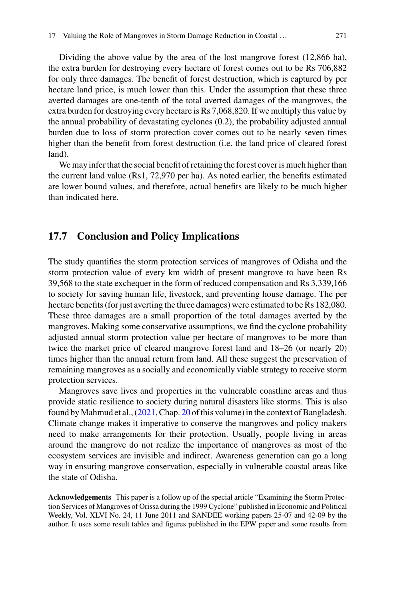Dividing the above value by the area of the lost mangrove forest (12,866 ha), the extra burden for destroying every hectare of forest comes out to be Rs 706,882 for only three damages. The benefit of forest destruction, which is captured by per hectare land price, is much lower than this. Under the assumption that these three averted damages are one-tenth of the total averted damages of the mangroves, the extra burden for destroying every hectare is Rs 7,068,820. If we multiply this value by the annual probability of devastating cyclones (0.2), the probability adjusted annual burden due to loss of storm protection cover comes out to be nearly seven times higher than the benefit from forest destruction (i.e. the land price of cleared forest land).

We may infer that the social benefit of retaining the forest cover is much higher than the current land value (Rs1, 72,970 per ha). As noted earlier, the benefits estimated are lower bound values, and therefore, actual benefits are likely to be much higher than indicated here.

## **17.7 Conclusion and Policy Implications**

The study quantifies the storm protection services of mangroves of Odisha and the storm protection value of every km width of present mangrove to have been Rs 39,568 to the state exchequer in the form of reduced compensation and Rs 3,339,166 to society for saving human life, livestock, and preventing house damage. The per hectare benefits (for just averting the three damages) were estimated to be Rs 182,080. These three damages are a small proportion of the total damages averted by the mangroves. Making some conservative assumptions, we find the cyclone probability adjusted annual storm protection value per hectare of mangroves to be more than twice the market price of cleared mangrove forest land and 18–26 (or nearly 20) times higher than the annual return from land. All these suggest the preservation of remaining mangroves as a socially and economically viable strategy to receive storm protection services.

Mangroves save lives and properties in the vulnerable coastline areas and thus provide static resilience to society during natural disasters like storms. This is also found byMahmud et al., [\(2021,](#page-16-0) Chap. 20 of this volume) in the context of Bangladesh. Climate change makes it imperative to conserve the mangroves and policy makers need to make arrangements for their protection. Usually, people living in areas around the mangrove do not realize the importance of mangroves as most of the ecosystem services are invisible and indirect. Awareness generation can go a long way in ensuring mangrove conservation, especially in vulnerable coastal areas like the state of Odisha.

**Acknowledgements** This paper is a follow up of the special article "Examining the Storm Protection Services of Mangroves of Orissa during the 1999 Cyclone" published in Economic and Political Weekly, Vol. XLVI No. 24, 11 June 2011 and SANDEE working papers 25-07 and 42-09 by the author. It uses some result tables and figures published in the EPW paper and some results from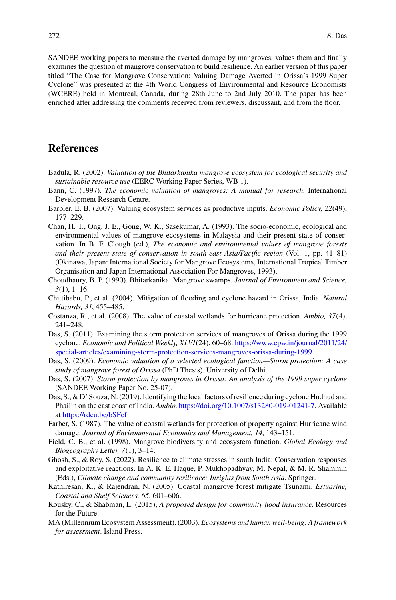SANDEE working papers to measure the averted damage by mangroves, values them and finally examines the question of mangrove conservation to build resilience. An earlier version of this paper titled "The Case for Mangrove Conservation: Valuing Damage Averted in Orissa's 1999 Super Cyclone" was presented at the 4th World Congress of Environmental and Resource Economists (WCERE) held in Montreal, Canada, during 28th June to 2nd July 2010. The paper has been enriched after addressing the comments received from reviewers, discussant, and from the floor.

## **References**

- <span id="page-15-15"></span>Badula, R. (2002). *Valuation of the Bhitarkanika mangrove ecosystem for ecological security and sustainable resource use* (EERC Working Paper Series, WB 1).
- <span id="page-15-6"></span>Bann, C. (1997). *The economic valuation of mangroves: A manual for research*. International Development Research Centre.
- <span id="page-15-10"></span>Barbier, E. B. (2007). Valuing ecosystem services as productive inputs. *Economic Policy, 22*(49), 177–229.
- <span id="page-15-5"></span>Chan, H. T., Ong, J. E., Gong, W. K., Sasekumar, A. (1993). The socio-economic, ecological and environmental values of mangrove ecosystems in Malaysia and their present state of conservation. In B. F. Clough (ed.), *The economic and environmental values of mangrove forests and their present state of conservation in south-east Asia/Pacific region* (Vol. 1, pp. 41–81) (Okinawa, Japan: International Society for Mangrove Ecosystems, International Tropical Timber Organisation and Japan International Association For Mangroves, 1993).
- <span id="page-15-14"></span>Choudhaury, B. P. (1990). Bhitarkanika: Mangrove swamps. *Journal of Environment and Science, 3*(1), 1–16.
- <span id="page-15-16"></span>Chittibabu, P., et al. (2004). Mitigation of flooding and cyclone hazard in Orissa, India. *Natural Hazards, 31*, 455–485.
- <span id="page-15-8"></span>Costanza, R., et al. (2008). The value of coastal wetlands for hurricane protection. *Ambio, 37*(4), 241–248.
- <span id="page-15-13"></span>Das, S. (2011). Examining the storm protection services of mangroves of Orissa during the 1999 cyclone. *Economic and Political Weekly, XLVI*(24), 60–68. https://www.epw.in/journal/2011/24/ [special-articles/examining-storm-protection-services-mangroves-orissa-during-1999.](https://www.epw.in/journal/2011/24/special-articles/examining-storm-protection-services-mangroves-orissa-during-1999)
- <span id="page-15-12"></span>Das, S. (2009). *Economic valuation of a selected ecological function—Storm protection: A case study of mangrove forest of Orissa* (PhD Thesis). University of Delhi.
- <span id="page-15-11"></span>Das, S. (2007). *Storm protection by mangroves in Orissa: An analysis of the 1999 super cyclone* (SANDEE Working Paper No. 25-07).
- <span id="page-15-1"></span>Das, S., & D' Souza, N. (2019). Identifying the local factors of resilience during cyclone Hudhud and Phailin on the east coast of India. *Ambio*. [https://doi.org/10.1007/s13280-019-01241-7.](https://doi.org/10.1007/s13280-019-01241-7) Available at <https://rdcu.be/bSFcf>
- <span id="page-15-7"></span>Farber, S. (1987). The value of coastal wetlands for protection of property against Hurricane wind damage. *Journal of Environmental Economics and Management, 14*, 143–151.
- <span id="page-15-3"></span>Field, C. B., et al. (1998). Mangrove biodiversity and ecosystem function. *Global Ecology and Biogeography Letter, 7*(1), 3–14.
- <span id="page-15-4"></span>Ghosh, S., & Roy, S. (2022). Resilience to climate stresses in south India: Conservation responses and exploitative reactions. In A. K. E. Haque, P. Mukhopadhyay, M. Nepal, & M. R. Shammin (Eds.), *Climate change and community resilience: Insights from South Asia*. Springer.
- <span id="page-15-9"></span>Kathiresan, K., & Rajendran, N. (2005). Coastal mangrove forest mitigate Tsunami. *Estuarine, Coastal and Shelf Sciences, 65*, 601–606.
- <span id="page-15-0"></span>Kousky, C., & Shabman, L. (2015), *A proposed design for community flood insurance*. Resources for the Future.
- <span id="page-15-2"></span>MA (Millennium Ecosystem Assessment). (2003). *Ecosystems and human well-being: A framework for assessment*. Island Press.